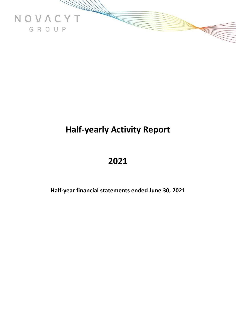

# **Half-yearly Activity Report**

## **2021**

**Half-year financial statements ended June 30, 2021**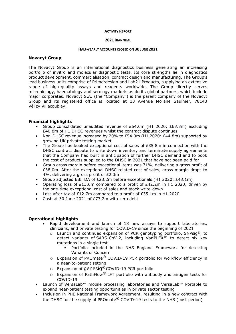#### **ACTIVITY REPORT**

#### **2021 BIANNUAL**

#### **HALF-YEARLY ACCOUNTS CLOSED ON 30 JUNE 2021**

#### **Novacyt Group**

The Novacyt Group is an international diagnostics business generating an increasing portfolio of invitro and molecular diagnostic tests. Its core strengths lie in diagnostics product development, commercialisation, contract design and manufacturing. The Group's lead business units comprise of Primerdesign and Lab21 Products, supplying an extensive range of high-quality assays and reagents worldwide. The Group directly serves microbiology, haematology and serology markets as do its global partners, which include major corporates. Novacyt S.A. (the "Company") is the parent company of the Novacyt Group and its registered office is located at 13 Avenue Morane Saulnier, 78140 Vélizy Villacoublay.

## **Financial highlights**

- Group consolidated unaudited revenue of £54.0m (H1 2020: £63.3m) excluding £40.8m of H1 DHSC revenues whilst the contract dispute continues
- Non-DHSC revenue increased by 20% to £54.0m (H1 2020: £44.8m) supported by growing UK private testing market
- The Group has booked exceptional cost of sales of £35.8m in connection with the DHSC contract dispute to write down inventory and terminate supply agreements that the Company had built in anticipation of further DHSC demand and to book the cost of products supplied to the DHSC in 2021 that have not been paid for
- Group gross margin before exceptional items was 71%, delivering a gross profit of £38.0m. After the exceptional DHSC related cost of sales, gross margin drops to 4%, delivering a gross profit of £2.3m
- Group adjusted EBITDA of  $E$ 23.2m before exceptionals (H1 2020:  $E$ 43.1m)
- Operating loss of £13.6m compared to a profit of £42.2m in H1 2020, driven by the one-time exceptional cost of sales and stock write-down
- Loss after tax of £12.7m compared to a profit of £35.1m in H1 2020
- Cash at 30 June 2021 of £77.2m with zero debt

## **Operational highlights**

- Rapid development and launch of 18 new assays to support laboratories, clinicians, and private testing for COVID-19 since the beginning of 2021
	- $\circ$  Launch and continued expansion of PCR genotyping portfolio, SNPsig®, to detect variants of SARS-CoV-2, including VariPLEX™ to detect six key mutations in a single test
		- Portfolio included in the NHS England Framework for detecting Variants of Concern
	- o Expansion of PROmate® COVID-19 PCR portfolio for workflow efficiency in a near-to-patient setting
	- o Expansion of genesig® COVID-19 PCR portfolio
	- $\circ$  Expansion of PathFlow<sup>®</sup> LFT portfolio with antibody and antigen tests for COVID-19
- Launch of VersaLab™ mobile processing laboratories and VersaLab™ Portable to expand near-patient testing opportunities in private sector testing
- Inclusion in PHE National Framework Agreement, resulting in a new contract with the DHSC for the supply of PROmate<sup>®</sup> COVID-19 tests to the NHS (post period)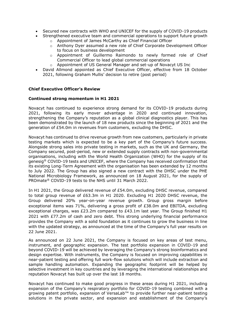- Secured new contracts with WHO and UNICEF for the supply of COVID-19 products
- Strengthened executive team and commercial operations to support future growth
	- o Appointment of James McCarthy as Chief Financial Officer
	- o Anthony Dyer assumed a new role of Chief Corporate Development Officer to focus on business development
	- o Appointment of Guillermo Raimondo to newly formed role of Chief Commercial Officer to lead global commercial operations
	- o Appointment of US General Manager and set-up of Novacyt US Inc
- David Allmond appointed as Chief Executive Officer, effective from 18 October 2021, following Graham Mullis' decision to retire (post period)

## **Chief Executive Officer's Review**

## **Continued strong momentum in H1 2021**

Novacyt has continued to experience strong demand for its COVID-19 products during 2021, following its early mover advantage in 2020 and continued innovation, strengthening the Company's reputation as a global clinical diagnostics player. This has been demonstrated by the launch of 18 new products since the beginning of 2021 and the generation of £54.0m in revenues from customers, excluding the DHSC.

Novacyt has continued to drive revenue growth from new customers, particularly in private testing markets which is expected to be a key part of the Company's future success. Alongside strong sales into private testing in markets, such as the UK and Germany, the Company secured, post-period, new or extended supply contracts with non-governmental organisations, including with the World Health Organization (WHO) for the supply of its genesig® COVID-19 tests and UNICEF, where the Company has received confirmation that its existing Long-Term Agreement with the organisation has been extended by 12 months to July 2022. The Group has also signed a new contract with the DHSC under the PHE National Microbiology Framework, as announced on 18 August 2021, for the supply of PROmate® COVID-19 tests to the NHS until 31 March 2022.

In H1 2021, the Group delivered revenue of £54.0m, excluding DHSC revenue, compared to total group revenue of £63.3m in H1 2020. Excluding H1 2020 DHSC revenue, the Group delivered 20% year-on-year revenue growth. Group gross margin before exceptional items was 71%, delivering a gross profit of £38.0m and EBITDA, excluding exceptional charges, was £23.2m compared to £43.1m last year. The Group finished H1 2021 with £77.2m of cash and zero debt. This strong underlying financial performance provides the Company with a solid foundation as it continues to grow the business in line with the updated strategy, as announced at the time of the Company's full year results on 22 June 2021.

As announced on 22 June 2021, the Company is focused on key areas of test menu, instrument, and geographic expansion. The test portfolio expansion in COVID-19 and beyond COVID-19 will be achieved by leveraging the Company's strong bioinformatics and design expertise. With instruments, the Company is focused on improving capabilities in near-patient testing and offering full work-flow solutions which will include extraction and sample handling automation. Expanding the geographic footprint will be helped by selective investment in key countries and by leveraging the international relationships and reputation Novacyt has built up over the last 18 months.

Novacyt has continued to make good progress in these areas during H1 2021, including expansion of the Company's respiratory portfolio for COVID-19 testing combined with a growing patent portfolio, expansion of VersaLab™ to provide further near-patient testing solutions in the private sector, and expansion and establishment of the Company's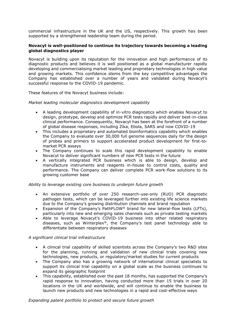commercial infrastructure in the UK and the US, respectively. This growth has been supported by a strengthened leadership team during the period.

## **Novacyt is well-positioned to continue its trajectory towards becoming a leading global diagnostics player**

Novacyt is building upon its reputation for the innovation and high performance of its diagnostic products and believes it is well positioned as a global manufacturer rapidly developing and commercialising market leading and proprietary technologies in high value and growing markets. This confidence stems from the key competitive advantages the Company has established over a number of years and validated during Novacyt's successful response to the COVID-19 pandemic.

These features of the Novacyt business include:

## *Market leading molecular diagnostics development capability*

- A leading development capability of in-vitro diagnostics which enables Novacyt to design, prototype, develop and optimize PCR tests rapidly and deliver best-in-class clinical performance. Consequently, Novacyt has been at the forefront of a number of global disease responses, including Zika, Ebola, SARS and now COVID-19
- This includes a proprietary and automated bioinformatics capability which enables the Company to evaluate over 30,000 full genome sequences daily for the design of probes and primers to support accelerated product development for first-tomarket PCR assays
- The Company continues to scale this rapid development capability to enable Novacyt to deliver significant numbers of new PCR tests in the future
- A vertically integrated PCR business which is able to design, develop and manufacture instruments and reagents in-house to control costs, quality and performance. The Company can deliver complete PCR work-flow solutions to its growing customer base

## *Ability to leverage existing core business to underpin future growth*

- An extensive portfolio of over 250 research-use-only (RUO) PCR diagnostic pathogen tests, which can be leveraged further into existing life science markets due to the Company's growing distribution channels and brand reputation
- Expansion of the Company's PathFLOW® brand for new lateral-flow tests (LFTs), particularly into new and emerging sales channels such as private testing markets
- Able to leverage Novacyt's COVID-19 business into other related respiratory diseases, such as Winterplex®, the Company's test panel technology able to differentiate between respiratory diseases

## *A significant clinical trial infrastructure*

- A clinical trial capability of skilled scientists across the Company's two R&D sites for the planning, running and validation of new clinical trials covering new technologies, new products, or regulatory/market studies for current products
- The Company also has a growing network of international clinical specialists to support its clinical trial capability on a global scale as the business continues to expand its geographic footprint
- This capability, established over the past 18 months, has supported the Company's rapid response to innovation, having conducted more than 15 trials in over 20 locations in the UK and worldwide, and will continue to enable the business to launch new products and new technologies in a rapid and cost-effective ways

*Expanding patent portfolio to protect and secure future growth*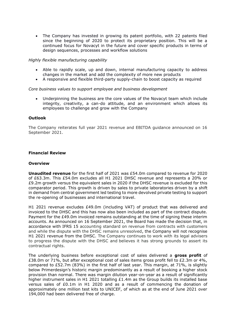• The Company has invested in growing its patent portfolio, with 22 patents filed since the beginning of 2020 to protect its proprietary position. This will be a continued focus for Novacyt in the future and cover specific products in terms of design sequences, processes and workflow solutions

## *Highly flexible manufacturing capability*

- Able to rapidly scale, up and down, internal manufacturing capacity to address changes in the market and add the complexity of more new products
- A responsive and flexible third-party supply-chain to boost capacity as required

## *Core business values to support employee and business development*

• Underpinning the business are the core values of the Novacyt team which include integrity, creativity, a can-do attitude, and an environment which allows its employees to challenge and grow with the Company

## **Outlook**

The Company reiterates full year 2021 revenue and EBITDA guidance announced on 16 September 2021.

## **Financial Review**

#### **Overview**

**Unaudited revenue** for the first half of 2021 was £54.0m compared to revenue for 2020 of £63.3m. This £54.0m excludes all H1 2021 DHSC revenue and represents a 20% or £9.2m growth versus the equivalent sales in 2020 if the DHSC revenue is excluded for this comparator period. This growth is driven by sales to private laboratories driven by a shift in demand from central government led testing to more devolved private testing to support the re-opening of businesses and international travel.

H1 2021 revenue excludes £49.0m (including VAT) of product that was delivered and invoiced to the DHSC and this has now also been included as part of the contract dispute. Payment for the £49.0m invoiced remains outstanding at the time of signing these interim accounts. As announced on 16 September 2021, the Board has made the decision that, in accordance with IFRS 15 accounting standard on revenue from contracts with customers and while the dispute with the DHSC remains unresolved, the Company will not recognise H1 2021 revenue from the DHSC. The Company continues to work with its legal advisers to progress the dispute with the DHSC and believes it has strong grounds to assert its contractual rights.

The underlying business before exceptional cost of sales delivered a **gross profit** of £38.0m or 71%, but after exceptional cost of sales items gross profit fell to £2.3m or 4%, compared to £52.7m (83%) in the first half of last year. This margin, at 71%, is slightly below Primerdesign's historic margin predominantly as a result of booking a higher stock provision than normal. There was margin dilution year-on-year as a result of significantly higher instrument sales in H1 2021 totalling  $£1.4m$  as the Group builds its installed base versus sales of £0.1m in H1 2020 and as a result of commencing the donation of approximately one million test kits to UNICEF, of which as at the end of June 2021 over 194,000 had been delivered free of charge.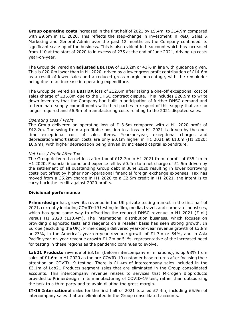**Group operating costs** increased in the first half of 2021 by £5.4m, to £14.9m compared with £9.5m in H1 2020. This reflects the step-change in investment in R&D, Sales & Marketing and General Admin over the past 12 months as the Company continued its significant scale up of the business. This is also evident in headcount which has increased from 110 at the start of 2020 to in excess of 275 at the end of June 2021, driving up costs year-on-year.

The Group delivered an **adjusted EBITDA** of £23.2m or 43% in line with guidance given. This is £20.0m lower than in H1 2020, driven by a lower gross profit contribution of £14.6m as a result of lower sales and a reduced gross margin percentage, with the remainder being due to an increase in operating expenditure.

The Group delivered an **EBITDA** loss of £12.6m after taking a one-off exceptional cost of sales charge of £35.8m due to the DHSC contract dispute. This includes £28.9m to write down inventory that the Company had built in anticipation of further DHSC demand and to terminate supply commitments with third parties in respect of this supply that are no longer required and £6.9m of manufacturing costs relating to the 2021 disputed sales.

#### *Operating Loss / Profit*

The Group delivered an operating loss of £13.6m compared with a H1 2020 profit of £42.2m. The swing from a profitable position to a loss in H1 2021 is driven by the onetime exceptional cost of sales items. Year-on-year, exceptional charges and depreciation/amortisation costs are only £0.1m higher in H1 2021 at £1.0m (H1 2020: £0.9m), with higher depreciation being driven by increased capital expenditure.

#### *Net Loss / Profit After Tax*

The Group delivered a net loss after tax of £12.7m in H1 2021 from a profit of £35.1m in H1 2020. Financial income and expense fell by  $E0.4$ m to a net charge of  $E1.5$ m driven by the settlement of all outstanding Group debt in June 2020 resulting in lower borrowing costs but offset by higher non-operational financial foreign exchange expenses. Tax has moved from a £5.2m charge in H1 2020 to a £2.5m credit in H1 2021, the intent is to carry back the credit against 2020 profits.

## **Divisional performance**

**Primerdesign** has grown its revenue in the UK private testing market in the first half of 2021, currently including COVID-19 testing in film, media, travel, and corporate industries, which has gone some way to offsetting the reduced DHSC revenue in H1 2021 (£ nil) versus H1 2020 (£18.4m). The international distribution business, which focuses on providing diagnostic tests and reagents on a reseller basis has seen strong growth. In Europe (excluding the UK), Primerdesign delivered year-on-year revenue growth of £3.8m or 23%, in the America's year-on-year revenue growth of £1.7m or 54%, and in Asia Pacific year-on-year revenue growth  $£1.2m$  or  $51\%$ , representative of the increased need for testing in these regions as the pandemic continues to evolve.

**Lab21 Products** revenue of £3.1m (before intercompany eliminations), is up 98% from sales of £1.6m in H1 2020 as the pre-COVID-19 customer base returns after focusing their attention on COVID-19 testing. There is £1.4m of intercompany sales included in the £3.1m of Lab21 Products segment sales that are eliminated in the Group consolidated accounts. This intercompany revenue relates to services that Microgen Bioproducts provided to Primerdesign in its manufacturing of COVID-19 test, rather than outsourcing the task to a third party and to avoid diluting the gross margin.

**IT-IS International** sales for the first half of 2021 totalled £7.4m, including £5.9m of intercompany sales that are eliminated in the Group consolidated accounts.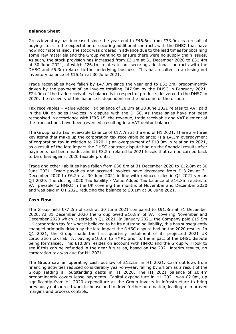## **Balance Sheet**

Gross inventory has increased since the year end to  $E46.6m$  from  $E33.0m$  as a result of buying stock in the expectation of securing additional contracts with the DHSC that have now not materialised. The stock was ordered in advance due to the lead times for obtaining some raw materials and the Group wanting to ensure there were no supply chain issues. As such, the stock provision has increased from £3.1m at 31 December 2020 to £31.4m at 30 June 2021, of which £26.1m relates to not securing additional contracts with the DHSC and £5.3m relates to the underlying business. This has resulted in a closing net inventory balance of £15.1m at 30 June 2021.

Trade receivables have fallen by £47.0m since the year end to £32.2m, predominantly driven by the payment of an invoice totalling £47.9m by the DHSC in February 2021. £24.0m of the trade receivables balance is in respect of products delivered to the DHSC in 2020, the recovery of this balance is dependent on the outcome of the dispute.

Tax receivables – Value Added Tax balance of £8.3m at 30 June 2021 relates to VAT paid in the UK on sales invoices in dispute with the DHSC. As these sales have not been recognised in accordance with IFRS 15, the revenue, trade receivable and VAT element of the transactions have been reversed, resulting in a VAT debtor balance.

The Group had a tax receivable balance of  $£17.7m$  at the end of H1 2021. There are three key items that make up the corporation tax receivable balance; i) a  $E4.3m$  overpayment of corporation tax in relation to 2020, ii) an overpayment of £10.0m in relation to 2021, as a result of the late impact the DHSC contract dispute had on the financial results after payments had been made, and iii) £3.2m related to 2021 losses that can be carried back to be offset against 2020 taxable profits.

Trade and other liabilities have fallen from £36.8m at 31 December 2020 to £12.8m at 30 June 2021. Trade payables and accrued invoices have decreased from £13.2m at 31 December 2020 to £6.2m at 30 June 2021 in line with reduced sales in Q2 2021 versus Q4 2020. The closing 2020 Tax liability - Value Added Tax balance of £16.8m relates to VAT payable to HMRC in the UK covering the months of November and December 2020 and was paid in Q1 2021 reducing the balance to £0.1m at 30 June 2021.

## **Cash Flow**

The Group held £77.2m of cash at 30 June 2021 compared to £91.8m at 31 December 2020. At 31 December 2020 the Group owed £16.8m of VAT covering November and December 2020 which it settled in Q1 2021. In January 2021, the Company paid £19.5m UK corporation tax for what it believed to be its outstanding liability, this has subsequently changed primarily driven by the late impact the DHSC dispute had on the 2020 results. In Q1 2021, the Group made the first quarterly instalment of its projected 2021 UK corporation tax liability, paying £10.0m to HMRC prior to the impact of the DHSC dispute being formalised. This £10.0m resides on account with HMRC and the Group will look to see if this can be refunded in the near future as, based on the 2021 interim results, no corporation tax was due for H1 2021.

The Group saw an operating cash outflow of  $£12.2m$  in H1 2021. Cash outflows from financing activities reduced considerably year-on-year, falling by £4.6m as a result of the Group settling all outstanding debts in H1 2020. The H1 2021 balance of £0.4m predominantly covers lease payments. Capital expenditure in H1 2021 was £2.0m, up significantly from H1 2020 expenditure as the Group invests in infrastructure to bring previously outsourced work in-house and to drive further automation, leading to improved margins and process controls.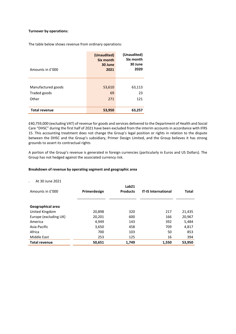#### **Turnover by operations:**

The table below shows revenue from ordinary operations:

| Amounts in £'000     | (Unaudited)<br>Six month<br>30 June<br>2021 | (Unaudited)<br>Six month<br>30 June<br>2020 |
|----------------------|---------------------------------------------|---------------------------------------------|
|                      |                                             |                                             |
| Manufactured goods   | 53,610                                      | 63,113                                      |
| Traded goods         | 69                                          | 23                                          |
| Other                | 271                                         | 121                                         |
|                      |                                             |                                             |
| <b>Total revenue</b> | 53,950                                      | 63,257                                      |

£40,759,000 (excluding VAT) of revenue for goods and services delivered to the Department of Health and Social Care "DHSC" during the first half of 2021 have been excluded from the interim accounts in accordance with IFRS 15. This accounting treatment does not change the Group's legal position or rights in relation to the dispute between the DHSC and the Group's subsidiary, Primer Design Limited, and the Group believes it has strong grounds to assert its contractual rights

A portion of the Group's revenue is generated in foreign currencies (particularly in Euros and US Dollars). The Group has not hedged against the associated currency risk.

#### **Breakdown of revenue by operating segment and geographic area**

At 30 June 2021

| Amounts in £'000      | Primerdesign | Lab <sub>21</sub><br><b>Products</b> | <b>IT-IS International</b> | Total  |
|-----------------------|--------------|--------------------------------------|----------------------------|--------|
| Geographical area     |              |                                      |                            |        |
| United Kingdom        | 20,898       | 320                                  | 217                        | 21,435 |
|                       |              |                                      |                            |        |
| Europe (excluding UK) | 20,201       | 600                                  | 166                        | 20,967 |
| America               | 4,949        | 143                                  | 392                        | 5,484  |
| Asia-Pacific          | 3,650        | 458                                  | 709                        | 4,817  |
| Africa                | 700          | 103                                  | 50                         | 853    |
| Middle East           | 253          | 125                                  | 16                         | 394    |
| <b>Total revenue</b>  | 50.651       | 1.749                                | 1.550                      | 53.950 |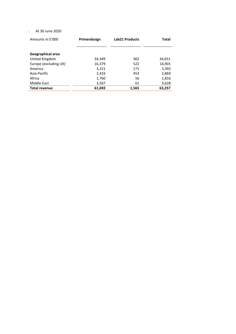## <sup>o</sup> At 30 June 2020

| Amounts in £'000      | Primerdesign | <b>Lab21 Products</b> | <b>Total</b> |
|-----------------------|--------------|-----------------------|--------------|
|                       |              |                       |              |
| Geographical area     |              |                       |              |
| United Kingdom        | 34,349       | 302                   | 34,651       |
| Europe (excluding UK) | 16,379       | 522                   | 16,901       |
| America               | 3,221        | 171                   | 3,392        |
| Asia-Pacific          | 2,416        | 453                   | 2,869        |
| Africa                | 1,760        | 56                    | 1,816        |
| Middle East           | 3,567        | 61                    | 3,628        |
| <b>Total revenue</b>  | 61,692       | 1,565                 | 63,257       |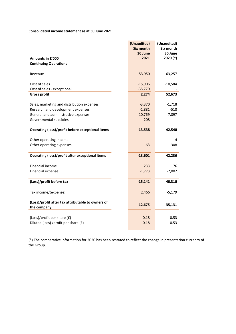#### **Consolidated income statement as at 30 June 2021**

|                                                        | (Unaudited)<br><b>Six month</b> | (Unaudited)<br>Six month |
|--------------------------------------------------------|---------------------------------|--------------------------|
|                                                        | 30 June                         | 30 June                  |
| Amounts in £'000                                       | 2021                            | 2020 (*)                 |
| <b>Continuing Operations</b>                           |                                 |                          |
|                                                        |                                 |                          |
| Revenue                                                | 53,950                          | 63,257                   |
|                                                        |                                 |                          |
| Cost of sales                                          | $-15,906$                       | $-10,584$                |
| Cost of sales - exceptional<br><b>Gross profit</b>     | $-35,770$                       | 52,673                   |
|                                                        | 2,274                           |                          |
| Sales, marketing and distribution expenses             | $-3,370$                        | $-1,718$                 |
| Research and development expenses                      | $-1,881$                        | $-518$                   |
| General and administrative expenses                    | $-10,769$                       | $-7,897$                 |
| Governmental subsidies                                 | 208                             |                          |
|                                                        |                                 |                          |
| Operating (loss)/profit before exceptional items       | $-13,538$                       | 42,540                   |
|                                                        |                                 |                          |
| Other operating income                                 |                                 | 4                        |
| Other operating expenses                               | $-63$                           | $-308$                   |
| <b>Operating (loss)/profit after exceptional items</b> | $-13,601$                       | 42,236                   |
|                                                        |                                 |                          |
| Financial income                                       | 233                             | 76                       |
| Financial expense                                      | $-1,773$                        | $-2,002$                 |
|                                                        |                                 |                          |
| (Loss)/profit before tax                               | $-15,141$                       | 40,310                   |
|                                                        |                                 |                          |
| Tax income/(expense)                                   | 2,466                           | $-5,179$                 |
|                                                        |                                 |                          |
| (Loss)/profit after tax attributable to owners of      | $-12,675$                       | 35,131                   |
| the company                                            |                                 |                          |
| (Loss)/profit per share (£)                            | $-0.18$                         | 0.53                     |
| Diluted (loss) /profit per share (£)                   | $-0.18$                         | 0.53                     |
|                                                        |                                 |                          |

(\*) The comparative information for 2020 has been restated to reflect the change in presentation currency of the Group.